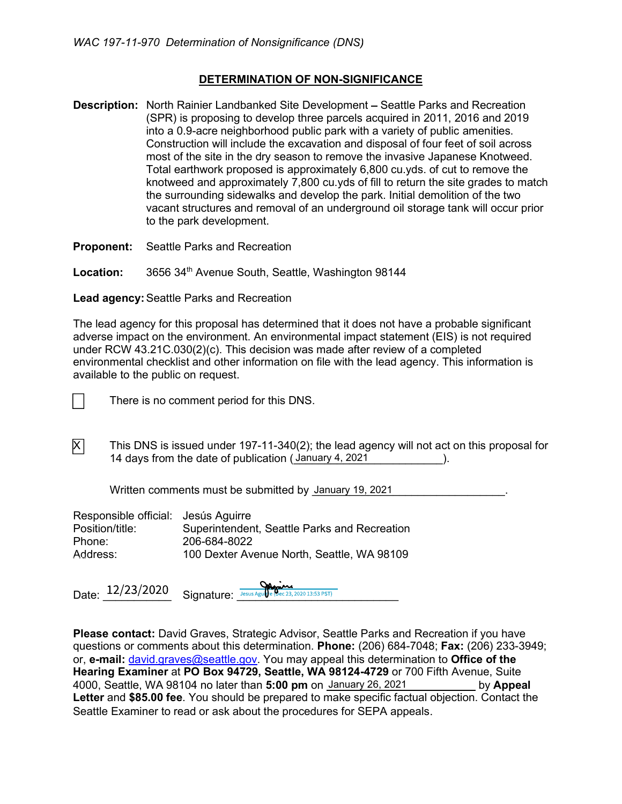#### DETERMINATION OF NON-SIGNIFICANCE

**Description:** North Rainier Landbanked Site Development - Seattle Parks and Recreation (SPR) is proposing to develop three parcels acquired in 2011, 2016 and 2019 into a 0.9-acre neighborhood public park with a variety of public amenities. Construction will include the excavation and disposal of four feet of soil across most of the site in the dry season to remove the invasive Japanese Knotweed. Total earthwork proposed is approximately 6,800 cu.yds. of cut to remove the knotweed and approximately 7,800 cu.yds of fill to return the site grades to match the surrounding sidewalks and develop the park. Initial demolition of the two vacant structures and removal of an underground oil storage tank will occur prior to the park development.

Proponent: Seattle Parks and Recreation

Location: 3656 34<sup>th</sup> Avenue South, Seattle, Washington 98144

Lead agency: Seattle Parks and Recreation

The lead agency for this proposal has determined that it does not have a probable significant adverse impact on the environment. An environmental impact statement (EIS) is not required under RCW 43.21C.030(2)(c). This decision was made after review of a completed environmental checklist and other information on file with the lead agency. This information is available to the public on request.



There is no comment period for this DNS.

 $\overline{X}$  This DNS is issued under 197-11-340(2); the lead agency will not act on this proposal for 14 days from the date of publication (January 4, 2021 The substitution of the date of publication (January 4, 2021

Written comments must be submitted by January 19, 2021 **Martin Comments**.

| Responsible official: Jesús Aguirre |                                              |
|-------------------------------------|----------------------------------------------|
| Position/title:                     | Superintendent, Seattle Parks and Recreation |
| Phone:                              | 206-684-8022                                 |
| Address:                            | 100 Dexter Avenue North, Seattle, WA 98109   |

Date:  $\frac{12/23/2020}{2}$  Signature:  $\frac{12}{2}$  Signature:  $\frac{12}{2}$ 

Please contact: David Graves, Strategic Advisor, Seattle Parks and Recreation if you have questions or comments about this determination. Phone: (206) 684-7048; Fax: (206) 233-3949; or, e-mail: david.graves@seattle.gov. You may appeal this determination to Office of the Hearing Examiner at PO Box 94729, Seattle, WA 98124-4729 or 700 Fifth Avenue, Suite 4000, Seattle, WA 98104 no later than **5:00 pm** on <u>January 26, 2021 \_\_\_\_\_\_\_\_\_\_\_</u> by Appeal Letter and \$85.00 fee. You should be prepared to make specific factual objection. Contact the Seattle Examiner to read or ask about the procedures for SEPA appeals.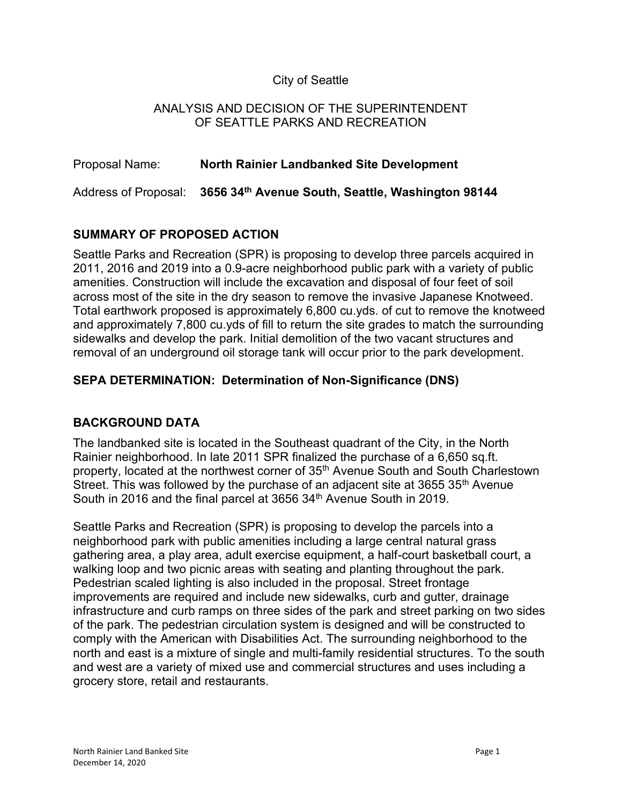### City of Seattle

#### ANALYSIS AND DECISION OF THE SUPERINTENDENT OF SEATTLE PARKS AND RECREATION

| Proposal Name: | North Rainier Landbanked Site Development                              |
|----------------|------------------------------------------------------------------------|
|                | Address of Proposal: 3656 34th Avenue South, Seattle, Washington 98144 |

## SUMMARY OF PROPOSED ACTION

Seattle Parks and Recreation (SPR) is proposing to develop three parcels acquired in 2011, 2016 and 2019 into a 0.9-acre neighborhood public park with a variety of public amenities. Construction will include the excavation and disposal of four feet of soil across most of the site in the dry season to remove the invasive Japanese Knotweed. Total earthwork proposed is approximately 6,800 cu.yds. of cut to remove the knotweed and approximately 7,800 cu.yds of fill to return the site grades to match the surrounding sidewalks and develop the park. Initial demolition of the two vacant structures and removal of an underground oil storage tank will occur prior to the park development.

## SEPA DETERMINATION: Determination of Non-Significance (DNS)

## BACKGROUND DATA

The landbanked site is located in the Southeast quadrant of the City, in the North Rainier neighborhood. In late 2011 SPR finalized the purchase of a 6,650 sq.ft. property, located at the northwest corner of 35<sup>th</sup> Avenue South and South Charlestown Street. This was followed by the purchase of an adjacent site at 3655 35<sup>th</sup> Avenue South in 2016 and the final parcel at 3656 34<sup>th</sup> Avenue South in 2019.

Seattle Parks and Recreation (SPR) is proposing to develop the parcels into a neighborhood park with public amenities including a large central natural grass gathering area, a play area, adult exercise equipment, a half-court basketball court, a walking loop and two picnic areas with seating and planting throughout the park. Pedestrian scaled lighting is also included in the proposal. Street frontage improvements are required and include new sidewalks, curb and gutter, drainage infrastructure and curb ramps on three sides of the park and street parking on two sides of the park. The pedestrian circulation system is designed and will be constructed to comply with the American with Disabilities Act. The surrounding neighborhood to the north and east is a mixture of single and multi-family residential structures. To the south and west are a variety of mixed use and commercial structures and uses including a grocery store, retail and restaurants.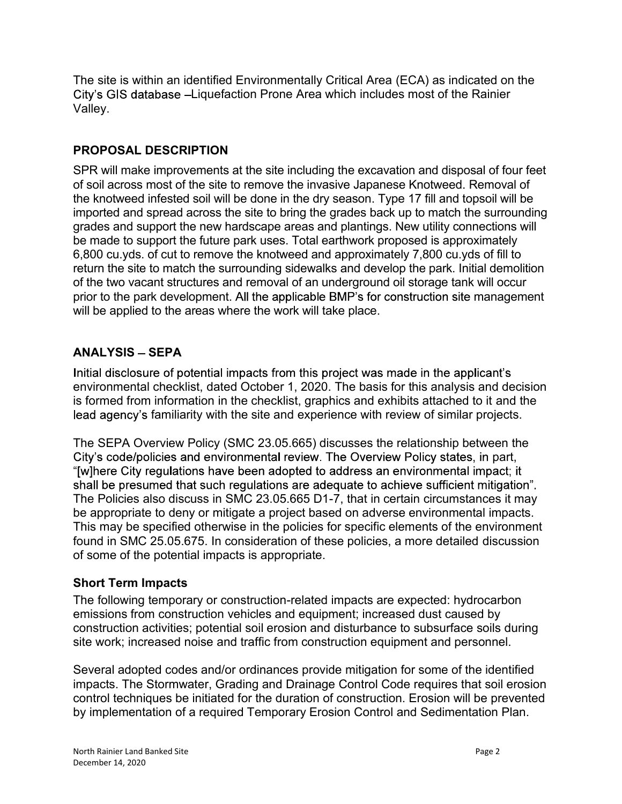The site is within an identified Environmentally Critical Area (ECA) as indicated on the City's GIS database -Liquefaction Prone Area which includes most of the Rainier Valley.

## PROPOSAL DESCRIPTION

SPR will make improvements at the site including the excavation and disposal of four feet of soil across most of the site to remove the invasive Japanese Knotweed. Removal of the knotweed infested soil will be done in the dry season. Type 17 fill and topsoil will be imported and spread across the site to bring the grades back up to match the surrounding grades and support the new hardscape areas and plantings. New utility connections will be made to support the future park uses. Total earthwork proposed is approximately 6,800 cu.yds. of cut to remove the knotweed and approximately 7,800 cu.yds of fill to return the site to match the surrounding sidewalks and develop the park. Initial demolition of the two vacant structures and removal of an underground oil storage tank will occur prior to the park development. All the applicable BMP's for construction site management will be applied to the areas where the work will take place.

# **ANALYSIS - SEPA**

Initial disclosure of potential impacts from this project was made in the applicant's environmental checklist, dated October 1, 2020. The basis for this analysis and decision is formed from information in the checklist, graphics and exhibits attached to it and the lead agency's familiarity with the site and experience with review of similar projects.

The SEPA Overview Policy (SMC 23.05.665) discusses the relationship between the City's code/policies and environmental review. The Overview Policy states, in part, "[w]here City regulations have been adopted to address an environmental impact; it shall be presumed that such regulations are adequate to achieve sufficient mitigation". The Policies also discuss in SMC 23.05.665 D1-7, that in certain circumstances it may be appropriate to deny or mitigate a project based on adverse environmental impacts. This may be specified otherwise in the policies for specific elements of the environment found in SMC 25.05.675. In consideration of these policies, a more detailed discussion of some of the potential impacts is appropriate.

# Short Term Impacts

The following temporary or construction-related impacts are expected: hydrocarbon emissions from construction vehicles and equipment; increased dust caused by construction activities; potential soil erosion and disturbance to subsurface soils during site work; increased noise and traffic from construction equipment and personnel.

Several adopted codes and/or ordinances provide mitigation for some of the identified impacts. The Stormwater, Grading and Drainage Control Code requires that soil erosion control techniques be initiated for the duration of construction. Erosion will be prevented by implementation of a required Temporary Erosion Control and Sedimentation Plan.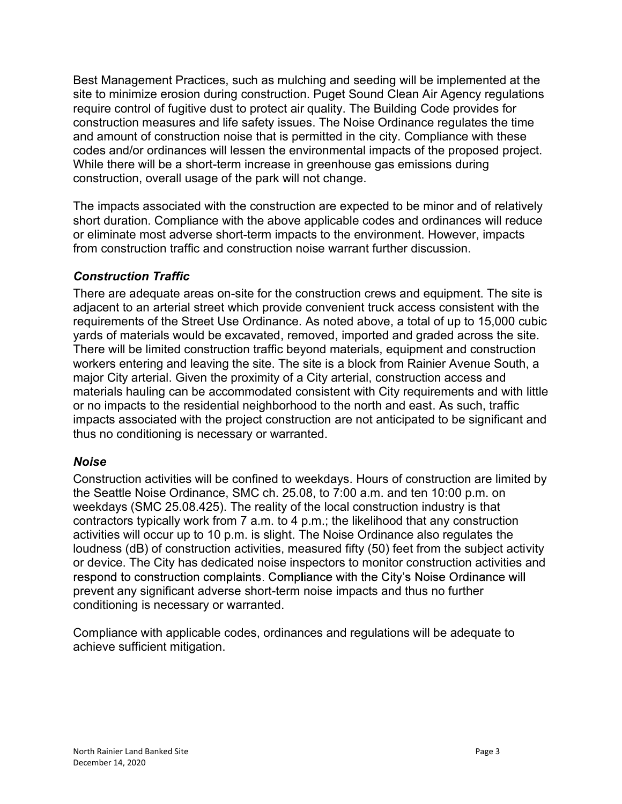Best Management Practices, such as mulching and seeding will be implemented at the site to minimize erosion during construction. Puget Sound Clean Air Agency regulations require control of fugitive dust to protect air quality. The Building Code provides for construction measures and life safety issues. The Noise Ordinance regulates the time and amount of construction noise that is permitted in the city. Compliance with these codes and/or ordinances will lessen the environmental impacts of the proposed project. While there will be a short-term increase in greenhouse gas emissions during construction, overall usage of the park will not change.

The impacts associated with the construction are expected to be minor and of relatively short duration. Compliance with the above applicable codes and ordinances will reduce or eliminate most adverse short-term impacts to the environment. However, impacts from construction traffic and construction noise warrant further discussion.

## Construction Traffic

There are adequate areas on-site for the construction crews and equipment. The site is adjacent to an arterial street which provide convenient truck access consistent with the requirements of the Street Use Ordinance. As noted above, a total of up to 15,000 cubic yards of materials would be excavated, removed, imported and graded across the site. There will be limited construction traffic beyond materials, equipment and construction workers entering and leaving the site. The site is a block from Rainier Avenue South, a major City arterial. Given the proximity of a City arterial, construction access and materials hauling can be accommodated consistent with City requirements and with little or no impacts to the residential neighborhood to the north and east. As such, traffic impacts associated with the project construction are not anticipated to be significant and thus no conditioning is necessary or warranted.

#### Noise

Construction activities will be confined to weekdays. Hours of construction are limited by the Seattle Noise Ordinance, SMC ch. 25.08, to 7:00 a.m. and ten 10:00 p.m. on weekdays (SMC 25.08.425). The reality of the local construction industry is that contractors typically work from 7 a.m. to 4 p.m.; the likelihood that any construction activities will occur up to 10 p.m. is slight. The Noise Ordinance also regulates the loudness (dB) of construction activities, measured fifty (50) feet from the subject activity or device. The City has dedicated noise inspectors to monitor construction activities and respond to construction complaints. Compliance with the City's Noise Ordinance will prevent any significant adverse short-term noise impacts and thus no further conditioning is necessary or warranted.

Compliance with applicable codes, ordinances and regulations will be adequate to achieve sufficient mitigation.